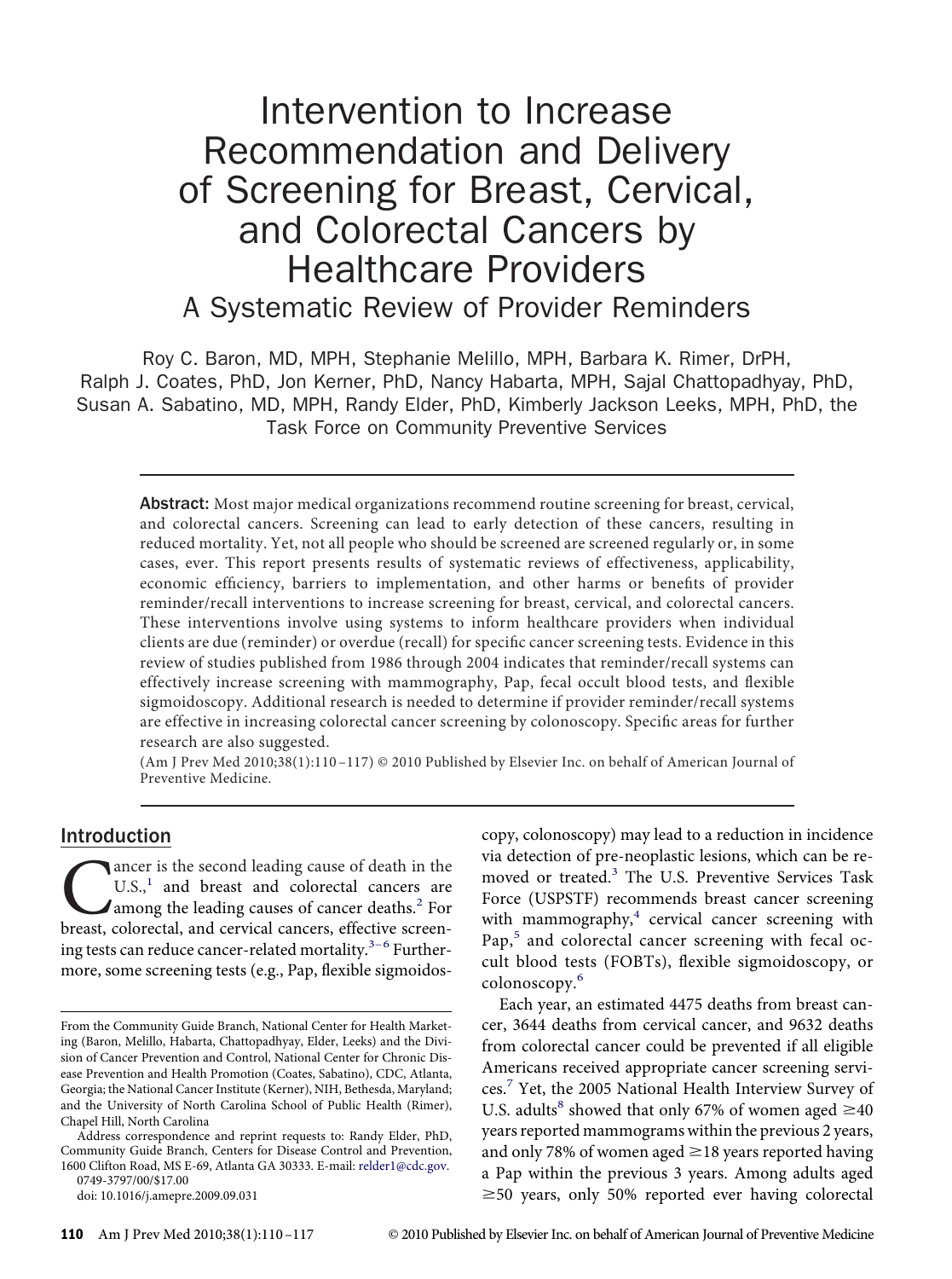# Intervention to Increase Recommendation and Delivery of Screening for Breast, Cervical, and Colorectal Cancers by Healthcare Providers A Systematic Review of Provider Reminders

Roy C. Baron, MD, MPH, Stephanie Melillo, MPH, Barbara K. Rimer, DrPH, Ralph J. Coates, PhD, Jon Kerner, PhD, Nancy Habarta, MPH, Sajal Chattopadhyay, PhD, Susan A. Sabatino, MD, MPH, Randy Elder, PhD, Kimberly Jackson Leeks, MPH, PhD, the Task Force on Community Preventive Services

Abstract: Most major medical organizations recommend routine screening for breast, cervical, and colorectal cancers. Screening can lead to early detection of these cancers, resulting in reduced mortality. Yet, not all people who should be screened are screened regularly or, in some cases, ever. This report presents results of systematic reviews of effectiveness, applicability, economic effıciency, barriers to implementation, and other harms or benefıts of provider reminder/recall interventions to increase screening for breast, cervical, and colorectal cancers. These interventions involve using systems to inform healthcare providers when individual clients are due (reminder) or overdue (recall) for specifıc cancer screening tests. Evidence in this review of studies published from 1986 through 2004 indicates that reminder/recall systems can effectively increase screening with mammography, Pap, fecal occult blood tests, and flexible sigmoidoscopy. Additional research is needed to determine if provider reminder/recall systems are effective in increasing colorectal cancer screening by colonoscopy. Specifıc areas for further research are also suggested.

(Am J Prev Med 2010;38(1):110 –117) © 2010 Published by Elsevier Inc. on behalf of American Journal of Preventive Medicine.

# Introduction

Canc[er](#page-6-0) is the second leading cause of death in the U.S., $^1$  and breast and colorectal cancers are among the leading causes of cancer deaths.<sup>2</sup> For breast, colorectal, and cervical cancers, effective screen- $U.S.,<sup>1</sup>$  and breast and colorectal cancers are among the leading causes of cancer deaths.<sup>2</sup> For breast, colorectal, and cervical cancers, effective screening tests can reduce cancer-related mortality. $3-6$  Furthermore, some screening tests (e.g., Pap, flexible sigmoidos-

Address correspondence and reprint requests to: Randy Elder, PhD, Community Guide Branch, Centers for Disease Control and Prevention, 1600 Clifton Road, MS E-69, Atlanta GA 30333. E-mail: [relder1@cdc.gov.](mailto:relder1@cdc.gov) 0749-3797/00/\$17.00

doi: 10.1016/j.amepre.2009.09.031

copy, colonoscopy) may lead to a reduction in incidence via detection of pre-neoplastic lesions, which can be re-moved or treated.<sup>[3](#page-6-0)</sup> The U.S. Preventive Services Task Force (USPSTF) recommends breast cancer screening with mammography,<sup>4</sup> cervical cancer screening with Pap,<sup>[5](#page-6-0)</sup> and colorectal cancer screening with fecal occult blood tests (FOBTs), flexible sigmoidoscopy, or colonoscopy.[6](#page-6-0)

Each year, an estimated 4475 deaths from breast cancer, 3644 deaths from cervical cancer, and 9632 deaths from colorectal cancer could be prevented if all eligible Americans received appropriate cancer screening services.[7](#page-6-0) Yet, the 2005 National Health Interview Survey of U.S. adults<sup>[8](#page-6-0)</sup> showed that only 67% of women aged  $\geq 40$ years reported mammograms within the previous 2 years, and only 78% of women aged  $\geq$  18 years reported having a Pap within the previous 3 years. Among adults aged  $\geq$ 50 years, only 50% reported ever having colorectal

From the Community Guide Branch, National Center for Health Marketing (Baron, Melillo, Habarta, Chattopadhyay, Elder, Leeks) and the Division of Cancer Prevention and Control, National Center for Chronic Disease Prevention and Health Promotion (Coates, Sabatino), CDC, Atlanta, Georgia; the National Cancer Institute (Kerner), NIH, Bethesda, Maryland; and the University of North Carolina School of Public Health (Rimer), Chapel Hill, North Carolina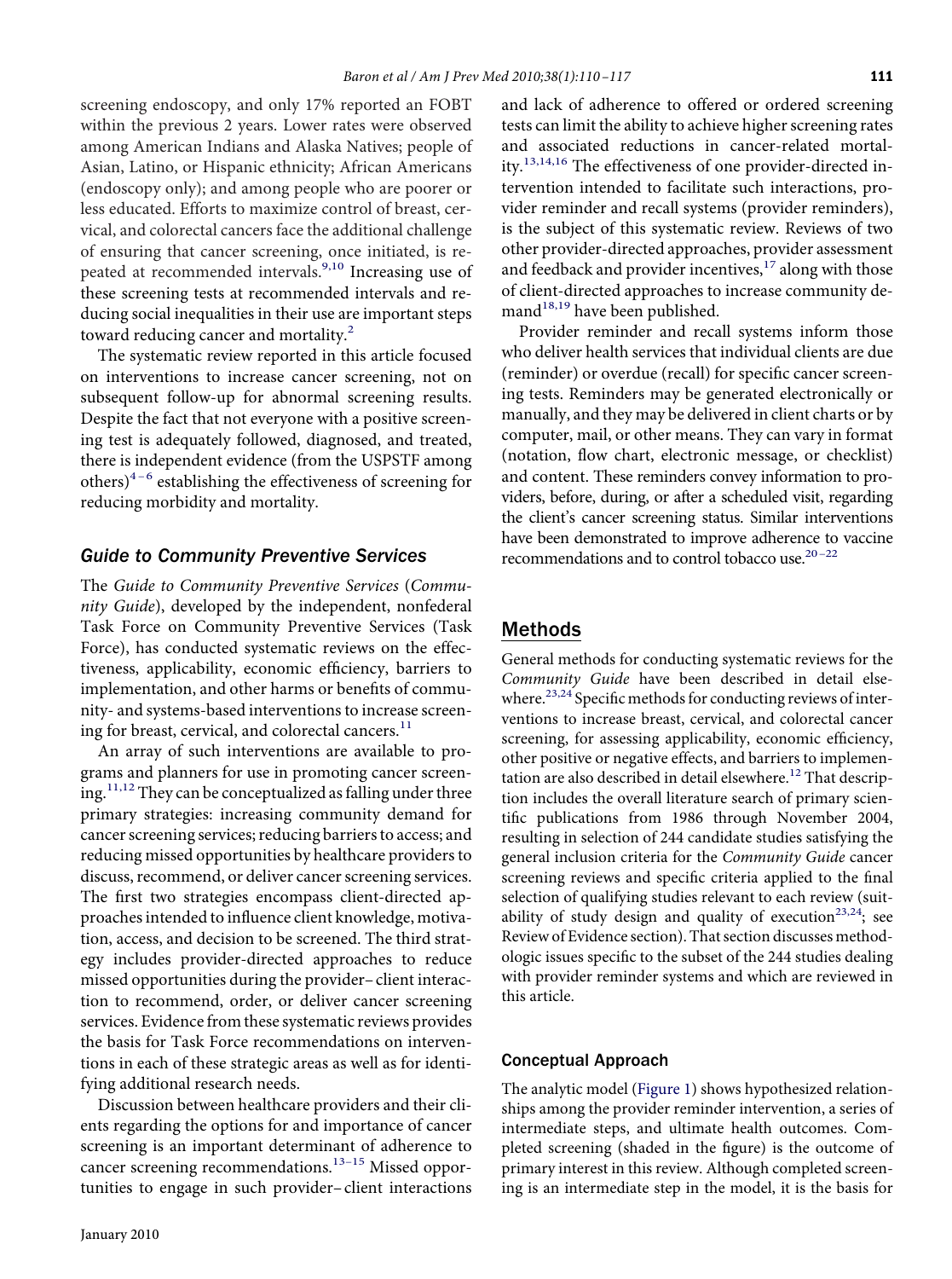screening endoscopy, and only 17% reported an FOBT within the previous 2 years. Lower rates were observed among American Indians and Alaska Natives; people of Asian, Latino, or Hispanic ethnicity; African Americans (endoscopy only); and among people who are poorer or less educated. Efforts to maximize control of breast, cervical, and colorectal cancers face the additional challenge of ensuring that cancer screening, once initiated, is re-peated at recommended intervals.<sup>[9,10](#page-6-0)</sup> Increasing use of these screening tests at recommended intervals and reducing social inequalities in their use are important steps toward reducing cancer and mortality.<sup>[2](#page-6-0)</sup>

The systematic review reported in this article focused on interventions to increase cancer screening, not on subsequent follow-up for abnormal screening results. Despite the fact that not everyone with a positive screening test is adequately followed, diagnosed, and treated, there is independent evidence (from the USPSTF among others)<sup>4-6</sup> establishing the effectiveness of screening for reducing morbidity and mortality.

#### *Guide to Community Preventive Services*

The *Guide to Community Preventive Services* (*Community Guide*), developed by the independent, nonfederal Task Force on Community Preventive Services (Task Force), has conducted systematic reviews on the effectiveness, applicability, economic effıciency, barriers to implementation, and other harms or benefıts of community- and systems-based interventions to increase screen-ing for breast, cervical, and colorectal cancers.<sup>[11](#page-6-0)</sup>

An array of such interventions are available to programs and planners for use in promoting cancer screen-ing.<sup>[11,12](#page-6-0)</sup> They can be conceptualized as falling under three primary strategies: increasing community demand for cancer screening services; reducing barriers to access; and reducing missed opportunities by healthcare providers to discuss, recommend, or deliver cancer screening services. The first two strategies encompass client-directed approaches intended to influence client knowledge, motivation, access, and decision to be screened. The third strategy includes provider-directed approaches to reduce missed opportunities during the provider– client interaction to recommend, order, or deliver cancer screening services. Evidence from these systematic reviews provides the basis for Task Force recommendations on interventions in each of these strategic areas as well as for identifying additional research needs.

Discussion between healthcare providers and their clients regarding the options for and importance of cancer screening is an important determinant of adherence to cancer screening recommendations.[13–15](#page-6-0) Missed opportunities to engage in such provider– client interactions

January 2010

and lack of adherence to offered or ordered screening tests can limit the ability to achieve higher screening rates and associated reductions in cancer-related mortal-ity.<sup>[13,14,16](#page-6-0)</sup> The effectiveness of one provider-directed intervention intended to facilitate such interactions, provider reminder and recall systems (provider reminders), is the subject of this systematic review. Reviews of two other provider-directed approaches, provider assessment and feedback and provider incentives, $17$  along with those of client-directed approaches to increase community demand<sup>18,19</sup> have been published.

Provider reminder and recall systems inform those who deliver health services that individual clients are due (reminder) or overdue (recall) for specifıc cancer screening tests. Reminders may be generated electronically or manually, and they may be delivered in client charts or by computer, mail, or other means. They can vary in format (notation, flow chart, electronic message, or checklist) and content. These reminders convey information to providers, before, during, or after a scheduled visit, regarding the client's cancer screening status. Similar interventions have been demonstrated to improve adherence to vaccine recommendations and to control tobacco use. $20-22$ 

# Methods

General methods for conducting systematic reviews for the *Community Guide* have been described in detail else-where.<sup>[23,24](#page-6-0)</sup> Specific methods for conducting reviews of interventions to increase breast, cervical, and colorectal cancer screening, for assessing applicability, economic effıciency, other positive or negative effects, and barriers to implementation are also described in detail elsewhere.<sup>12</sup> That description includes the overall literature search of primary scientifıc publications from 1986 through November 2004, resulting in selection of 244 candidate studies satisfying the general inclusion criteria for the *Community Guide* cancer screening reviews and specifıc criteria applied to the fınal selection of qualifying studies relevant to each review (suitability of study design and quality of execution<sup>23,24</sup>; see Review of Evidence section). That section discusses methodologic issues specifıc to the subset of the 244 studies dealing with provider reminder systems and which are reviewed in this article.

#### Conceptual Approach

The analytic model [\(Figure 1\)](#page-2-0) shows hypothesized relationships among the provider reminder intervention, a series of intermediate steps, and ultimate health outcomes. Completed screening (shaded in the fıgure) is the outcome of primary interest in this review. Although completed screening is an intermediate step in the model, it is the basis for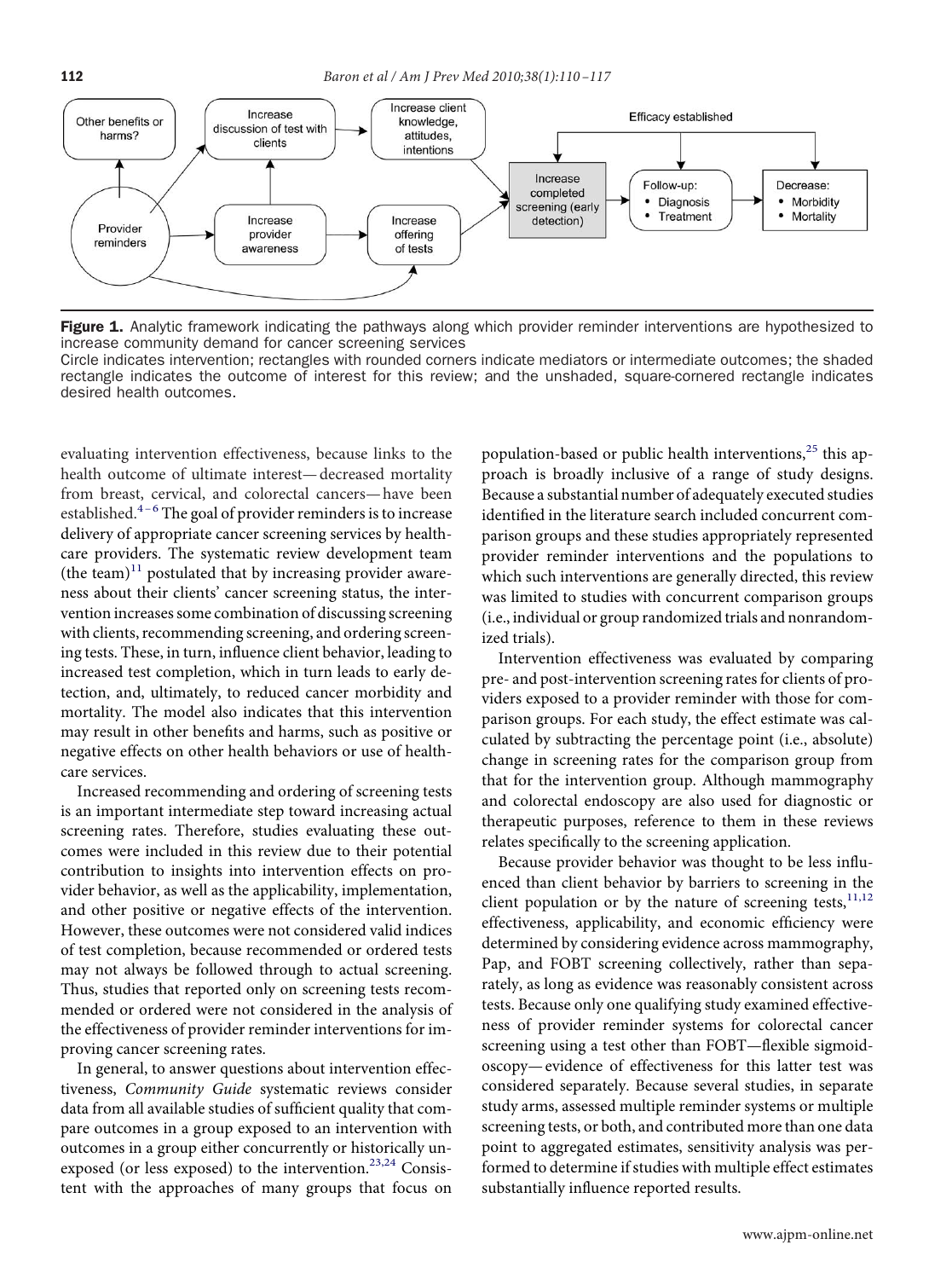<span id="page-2-0"></span>

Figure 1. Analytic framework indicating the pathways along which provider reminder interventions are hypothesized to increase community demand for cancer screening services

Circle indicates intervention; rectangles with rounded corners indicate mediators or intermediate outcomes; the shaded rectangle indicates the outcome of interest for this review; and the unshaded, square-cornered rectangle indicates desired health outcomes.

evaluating intervention effectiveness, because links to the health outcome of ultimate interest— decreased mortality from breast, cervical, and colorectal cancers— have been established. $4-6$  The goal of provider reminders is to increase delivery of appropriate cancer screening services by healthcare providers. The systematic review development team (the team) $11$  postulated that by increasing provider awareness about their clients' cancer screening status, the intervention increases some combination of discussing screening with clients, recommending screening, and ordering screening tests. These, in turn, influence client behavior, leading to increased test completion, which in turn leads to early detection, and, ultimately, to reduced cancer morbidity and mortality. The model also indicates that this intervention may result in other benefıts and harms, such as positive or negative effects on other health behaviors or use of healthcare services.

Increased recommending and ordering of screening tests is an important intermediate step toward increasing actual screening rates. Therefore, studies evaluating these outcomes were included in this review due to their potential contribution to insights into intervention effects on provider behavior, as well as the applicability, implementation, and other positive or negative effects of the intervention. However, these outcomes were not considered valid indices of test completion, because recommended or ordered tests may not always be followed through to actual screening. Thus, studies that reported only on screening tests recommended or ordered were not considered in the analysis of the effectiveness of provider reminder interventions for improving cancer screening rates.

In general, to answer questions about intervention effectiveness, *Community Guide* systematic reviews consider data from all available studies of suffıcient quality that compare outcomes in a group exposed to an intervention with outcomes in a group either concurrently or historically unexposed (or less exposed) to the intervention.<sup>23,24</sup> Consistent with the approaches of many groups that focus on population-based or public health interventions, $^{25}$  $^{25}$  $^{25}$  this approach is broadly inclusive of a range of study designs. Because a substantial number of adequately executed studies identifıed in the literature search included concurrent comparison groups and these studies appropriately represented provider reminder interventions and the populations to which such interventions are generally directed, this review was limited to studies with concurrent comparison groups (i.e., individual or group randomized trials and nonrandomized trials).

Intervention effectiveness was evaluated by comparing pre- and post-intervention screening rates for clients of providers exposed to a provider reminder with those for comparison groups. For each study, the effect estimate was calculated by subtracting the percentage point (i.e., absolute) change in screening rates for the comparison group from that for the intervention group. Although mammography and colorectal endoscopy are also used for diagnostic or therapeutic purposes, reference to them in these reviews relates specifıcally to the screening application.

Because provider behavior was thought to be less influenced than client behavior by barriers to screening in the client population or by the nature of screening tests, $11,12$ effectiveness, applicability, and economic effıciency were determined by considering evidence across mammography, Pap, and FOBT screening collectively, rather than separately, as long as evidence was reasonably consistent across tests. Because only one qualifying study examined effectiveness of provider reminder systems for colorectal cancer screening using a test other than FOBT—flexible sigmoidoscopy— evidence of effectiveness for this latter test was considered separately. Because several studies, in separate study arms, assessed multiple reminder systems or multiple screening tests, or both, and contributed more than one data point to aggregated estimates, sensitivity analysis was performed to determine if studies with multiple effect estimates substantially influence reported results.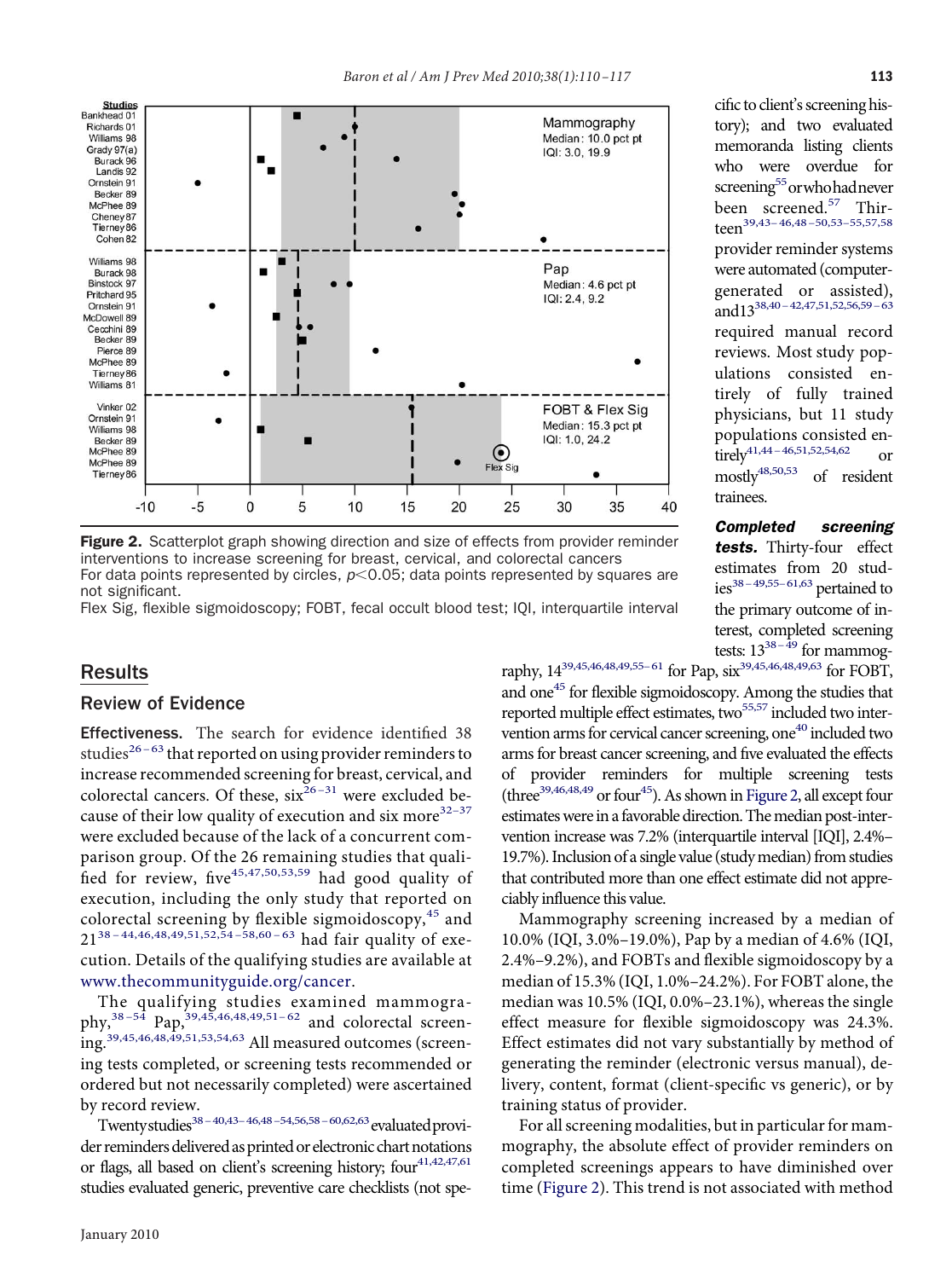

cifıc to client's screening history); and two evaluated

who were overdue for screening<sup>55</sup>orwhohadnever been screened.<sup>[57](#page-7-0)</sup> Thirteen<sup>39,43–46,48–50,53–55,57,58</sup> provider reminder systems were automated (computergenerated or assisted), and13<sup>38,40</sup>-42,47,51,52,56,59-63 required manual record reviews. Most study populations consisted entirely of fully trained physicians, but 11 study populations consisted entirely<sup>41,44-46,51,52,54,62</sup> or mostl[y48,50,53](#page-7-0) of resident trainees.

*Completed screening tests.* Thirty-four effect estimates from 20 stud $ies<sup>38-49,55-61,63</sup>$  pertained to the primary outcome of interest, completed screening tests:  $13^{38-49}$  for mammog-

**Figure 2.** Scatterplot graph showing direction and size of effects from provider reminder interventions to increase screening for breast, cervical, and colorectal cancers For data points represented by circles,  $p<0.05$ ; data points represented by squares are not significant.

Flex Sig, flexible sigmoidoscopy; FOBT, fecal occult blood test; IQI, interquartile interval

# Results

#### Review of Evidence

Effectiveness. The search for evidence identifıed 38 studies<sup>26-63</sup> that reported on using provider reminders to increase recommended screening for breast, cervical, and colorectal cancers. Of these,  $six^{26-31}$  were excluded because of their low quality of execution and six more  $32-37$ were excluded because of the lack of a concurrent comparison group. Of the 26 remaining studies that quali-fied for review, five<sup>[45,47,50,53,59](#page-7-0)</sup> had good quality of execution, including the only study that reported on colorectal screening by flexible sigmoidoscopy, $45$  and 21[38 – 44,46,48,49,51,52,54 –58,60 – 63](#page-7-0) had fair quality of execution. Details of the qualifying studies are available at [www.thecommunityguide.org/cancer.](http://www.thecommunityguide.org/cancer)

The qualifying studies examined mammography,<sup>38-54</sup> Pap,<sup>39,45,46,48,49,51-62</sup> and colorectal screening.[39,45,46,48,49,51,53,54,63](#page-7-0) All measured outcomes (screening tests completed, or screening tests recommended or ordered but not necessarily completed) were ascertained by record review.

Twenty studies<sup>38-40,43-46,48-54,56,58-60,62,63</sup> evaluated provider reminders delivered as printed or electronic chart notations or flags, all based on client's screening history; four<sup>41,42,47,61</sup> studies evaluated generic, preventive care checklists (not speraphy, 14<sup>39,45,46,48,49,55–61</sup> for Pap, six<sup>39,45,46,48,49,63</sup> for FOBT, and one<sup>45</sup> for flexible sigmoidoscopy. Among the studies that reported multiple effect estimates, two<sup>55,57</sup> included two intervention arms for cervical cancer screening, one<sup>40</sup> included two arms for breast cancer screening, and fıve evaluated the effects of provider reminders for multiple screening tests (three<sup>39,46,48,49</sup> or four<sup>45</sup>). As shown in Figure 2, all except four estimates were in a favorable direction. The median post-intervention increase was 7.2% (interquartile interval [IQI], 2.4%– 19.7%). Inclusion of a single value (study median) from studies that contributed more than one effect estimate did not appreciably influence this value.

Mammography screening increased by a median of 10.0% (IQI, 3.0%–19.0%), Pap by a median of 4.6% (IQI, 2.4%–9.2%), and FOBTs and flexible sigmoidoscopy by a median of 15.3% (IQI, 1.0%–24.2%). For FOBT alone, the median was 10.5% (IQI, 0.0%–23.1%), whereas the single effect measure for flexible sigmoidoscopy was 24.3%. Effect estimates did not vary substantially by method of generating the reminder (electronic versus manual), delivery, content, format (client-specifıc vs generic), or by training status of provider.

For all screening modalities, but in particular for mammography, the absolute effect of provider reminders on completed screenings appears to have diminished over time (Figure 2). This trend is not associated with method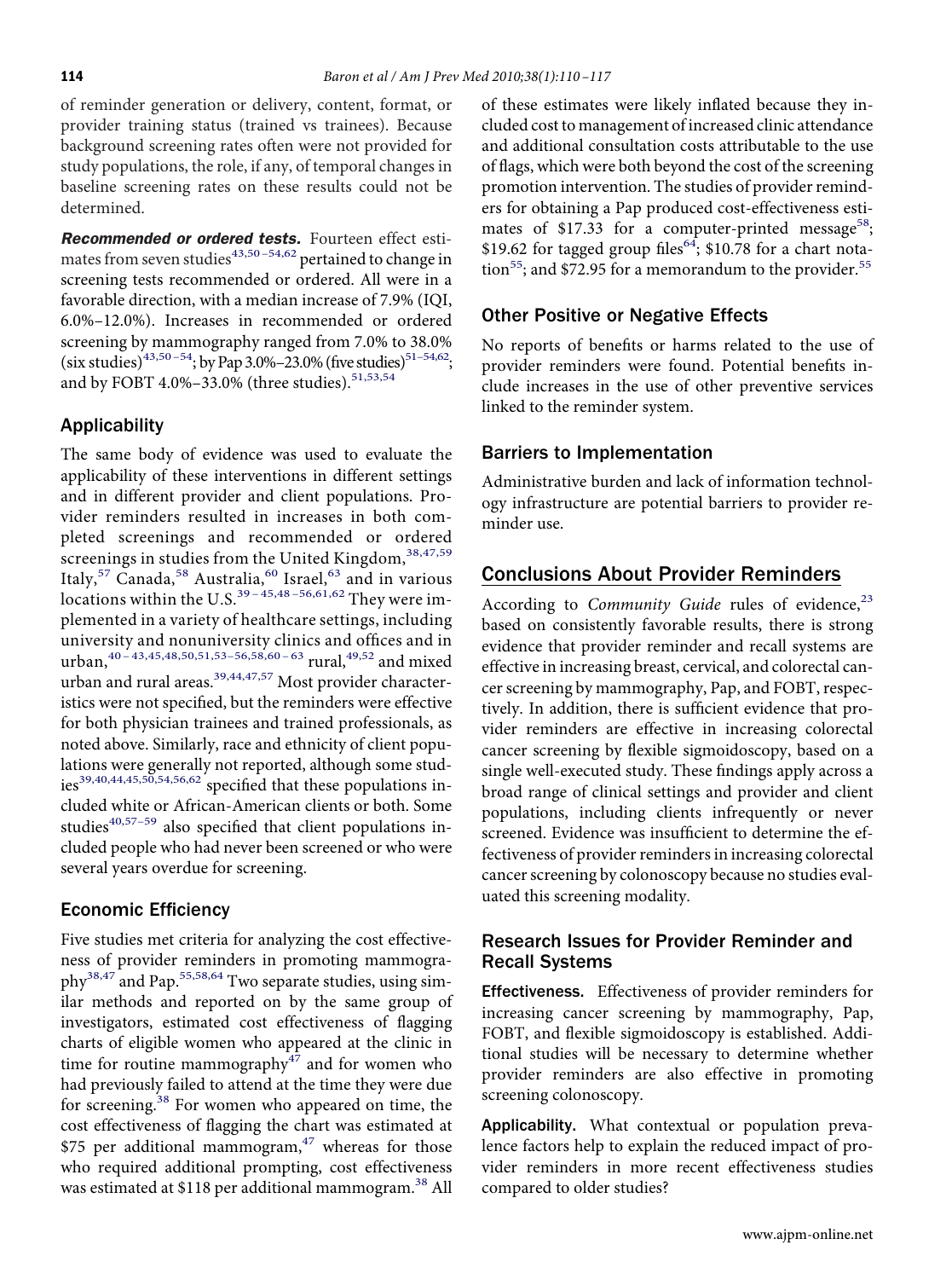of reminder generation or delivery, content, format, or provider training status (trained vs trainees). Because background screening rates often were not provided for study populations, the role, if any, of temporal changes in baseline screening rates on these results could not be determined.

*Recommended or ordered tests.* Fourteen effect estimates from seven studies<sup>43,50-54,62</sup> pertained to change in screening tests recommended or ordered. All were in a favorable direction, with a median increase of 7.9% (IQI, 6.0%–12.0%). Increases in recommended or ordered screening by mammography ranged from 7.0% to 38.0% (six studies)<sup>43,50-54</sup>; by Pap 3.0%–23.0% (five studies)<sup>51-54,62</sup>; and by FOBT 4.0%–33.0% (three studies).<sup>[51,53,54](#page-7-0)</sup>

### Applicability

The same body of evidence was used to evaluate the applicability of these interventions in different settings and in different provider and client populations. Provider reminders resulted in increases in both completed screenings and recommended or ordered screenings in studies from the United Kingdom, [38,47,59](#page-7-0) Italy,<sup>[57](#page-7-0)</sup> Canada,<sup>[58](#page-7-0)</sup> Australia,<sup>[60](#page-7-0)</sup> Israel,<sup>[63](#page-7-0)</sup> and in various locations within the U.S. $39 - 45,48 - 56,61,62$  They were implemented in a variety of healthcare settings, including university and nonuniversity clinics and offıces and in urban,<sup>40</sup>-43,45,48,50,51,53-56,58,60-63 rural,<sup>[49,52](#page-7-0)</sup> and mixed urban and rural areas.<sup>[39,44,47,57](#page-7-0)</sup> Most provider characteristics were not specifıed, but the reminders were effective for both physician trainees and trained professionals, as noted above. Similarly, race and ethnicity of client populations were generally not reported, although some stud-ies<sup>[39,40,44,45,50,54,56,62](#page-7-0)</sup> specified that these populations included white or African-American clients or both. Some studies<sup>40,57-59</sup> also specified that client populations included people who had never been screened or who were several years overdue for screening.

### Economic Efficiency

Five studies met criteria for analyzing the cost effectiveness of provider reminders in promoting mammography[38,47](#page-7-0) and Pap.[55,58,64](#page-7-0) Two separate studies, using similar methods and reported on by the same group of investigators, estimated cost effectiveness of flagging charts of eligible women who appeared at the clinic in time for routine mammography $47$  and for women who had previously failed to attend at the time they were due for screening.<sup>[38](#page-7-0)</sup> For women who appeared on time, the cost effectiveness of flagging the chart was estimated at \$75 per additional mammogram, $47$  whereas for those who required additional prompting, cost effectiveness was estimated at \$118 per additional mammogram.<sup>38</sup> All

of these estimates were likely inflated because they included cost to management of increased clinic attendance and additional consultation costs attributable to the use of flags, which were both beyond the cost of the screening promotion intervention. The studies of provider reminders for obtaining a Pap produced cost-effectiveness estimates of \$17.33 for a computer-printed message<sup>58</sup>; \$19.62 for tagged group files<sup>64</sup>; \$10.78 for a chart notation<sup>55</sup>; and \$72.95 for a memorandum to the provider.<sup>55</sup>

# Other Positive or Negative Effects

No reports of benefıts or harms related to the use of provider reminders were found. Potential benefıts include increases in the use of other preventive services linked to the reminder system.

## Barriers to Implementation

Administrative burden and lack of information technology infrastructure are potential barriers to provider reminder use.

# Conclusions About Provider Reminders

According to *Community Guide* rules of evidence,<sup>[23](#page-6-0)</sup> based on consistently favorable results, there is strong evidence that provider reminder and recall systems are effective in increasing breast, cervical, and colorectal cancer screening by mammography, Pap, and FOBT, respectively. In addition, there is suffıcient evidence that provider reminders are effective in increasing colorectal cancer screening by flexible sigmoidoscopy, based on a single well-executed study. These fındings apply across a broad range of clinical settings and provider and client populations, including clients infrequently or never screened. Evidence was insuffıcient to determine the effectiveness of provider reminders in increasing colorectal cancer screening by colonoscopy because no studies evaluated this screening modality.

## Research Issues for Provider Reminder and Recall Systems

Effectiveness. Effectiveness of provider reminders for increasing cancer screening by mammography, Pap, FOBT, and flexible sigmoidoscopy is established. Additional studies will be necessary to determine whether provider reminders are also effective in promoting screening colonoscopy.

Applicability. What contextual or population prevalence factors help to explain the reduced impact of provider reminders in more recent effectiveness studies compared to older studies?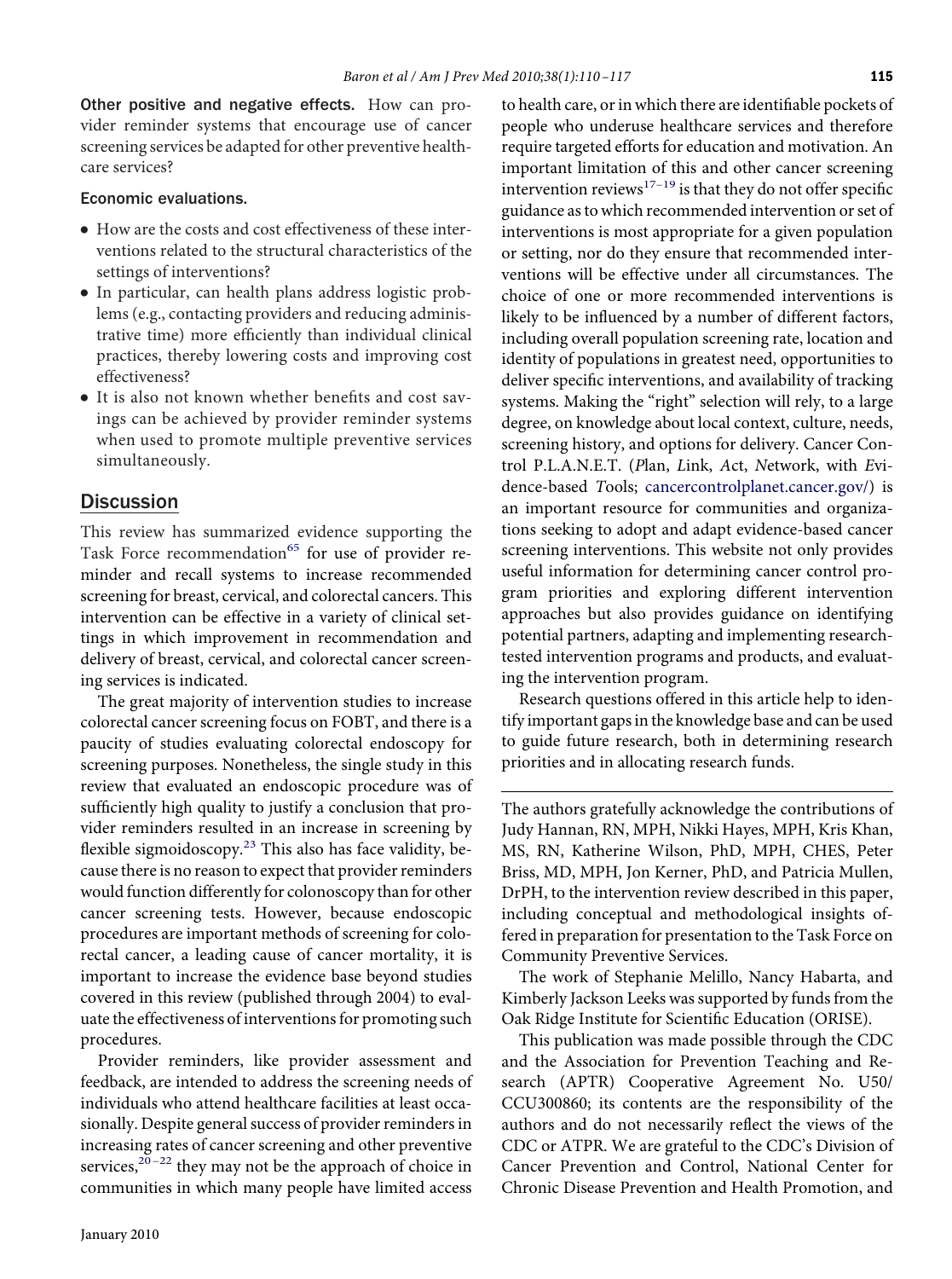Other positive and negative effects. How can provider reminder systems that encourage use of cancer screening services be adapted for other preventive healthcare services?

#### Economic evaluations.

- How are the costs and cost effectiveness of these interventions related to the structural characteristics of the settings of interventions?
- In particular, can health plans address logistic problems (e.g., contacting providers and reducing administrative time) more effıciently than individual clinical practices, thereby lowering costs and improving cost effectiveness?
- It is also not known whether benefıts and cost savings can be achieved by provider reminder systems when used to promote multiple preventive services simultaneously.

#### **Discussion**

This review has summarized evidence supporting the Task Force recommendation<sup>[65](#page-7-0)</sup> for use of provider reminder and recall systems to increase recommended screening for breast, cervical, and colorectal cancers. This intervention can be effective in a variety of clinical settings in which improvement in recommendation and delivery of breast, cervical, and colorectal cancer screening services is indicated.

The great majority of intervention studies to increase colorectal cancer screening focus on FOBT, and there is a paucity of studies evaluating colorectal endoscopy for screening purposes. Nonetheless, the single study in this review that evaluated an endoscopic procedure was of suffıciently high quality to justify a conclusion that provider reminders resulted in an increase in screening by flexible sigmoidoscopy.<sup>[23](#page-6-0)</sup> This also has face validity, because there is no reason to expect that provider reminders would function differently for colonoscopy than for other cancer screening tests. However, because endoscopic procedures are important methods of screening for colorectal cancer, a leading cause of cancer mortality, it is important to increase the evidence base beyond studies covered in this review (published through 2004) to evaluate the effectiveness of interventions for promoting such procedures.

Provider reminders, like provider assessment and feedback, are intended to address the screening needs of individuals who attend healthcare facilities at least occasionally. Despite general success of provider reminders in increasing rates of cancer screening and other preventive services, $20 - 22$  they may not be the approach of choice in communities in which many people have limited access

to health care, or in which there are identifıable pockets of people who underuse healthcare services and therefore require targeted efforts for education and motivation. An important limitation of this and other cancer screening intervention reviews<sup>17-19</sup> is that they do not offer specific guidance as to which recommended intervention or set of interventions is most appropriate for a given population or setting, nor do they ensure that recommended interventions will be effective under all circumstances. The choice of one or more recommended interventions is likely to be influenced by a number of different factors, including overall population screening rate, location and identity of populations in greatest need, opportunities to deliver specifıc interventions, and availability of tracking systems. Making the "right" selection will rely, to a large degree, on knowledge about local context, culture, needs, screening history, and options for delivery. Cancer Control P.L.A.N.E.T. (*P*lan, *L*ink, *A*ct, *N*etwork, with *E*vidence-based *T*ools; [cancercontrolplanet.cancer.gov/\)](http://cancercontrolplanet.cancer.gov/) is an important resource for communities and organizations seeking to adopt and adapt evidence-based cancer screening interventions. This website not only provides useful information for determining cancer control program priorities and exploring different intervention approaches but also provides guidance on identifying potential partners, adapting and implementing researchtested intervention programs and products, and evaluating the intervention program.

Research questions offered in this article help to identify important gaps in the knowledge base and can be used to guide future research, both in determining research priorities and in allocating research funds.

The authors gratefully acknowledge the contributions of Judy Hannan, RN, MPH, Nikki Hayes, MPH, Kris Khan, MS, RN, Katherine Wilson, PhD, MPH, CHES, Peter Briss, MD, MPH, Jon Kerner, PhD, and Patricia Mullen, DrPH, to the intervention review described in this paper, including conceptual and methodological insights offered in preparation for presentation to the Task Force on Community Preventive Services.

The work of Stephanie Melillo, Nancy Habarta, and Kimberly Jackson Leeks was supported by funds from the Oak Ridge Institute for Scientifıc Education (ORISE).

This publication was made possible through the CDC and the Association for Prevention Teaching and Research (APTR) Cooperative Agreement No. U50/ CCU300860; its contents are the responsibility of the authors and do not necessarily reflect the views of the CDC or ATPR. We are grateful to the CDC's Division of Cancer Prevention and Control, National Center for Chronic Disease Prevention and Health Promotion, and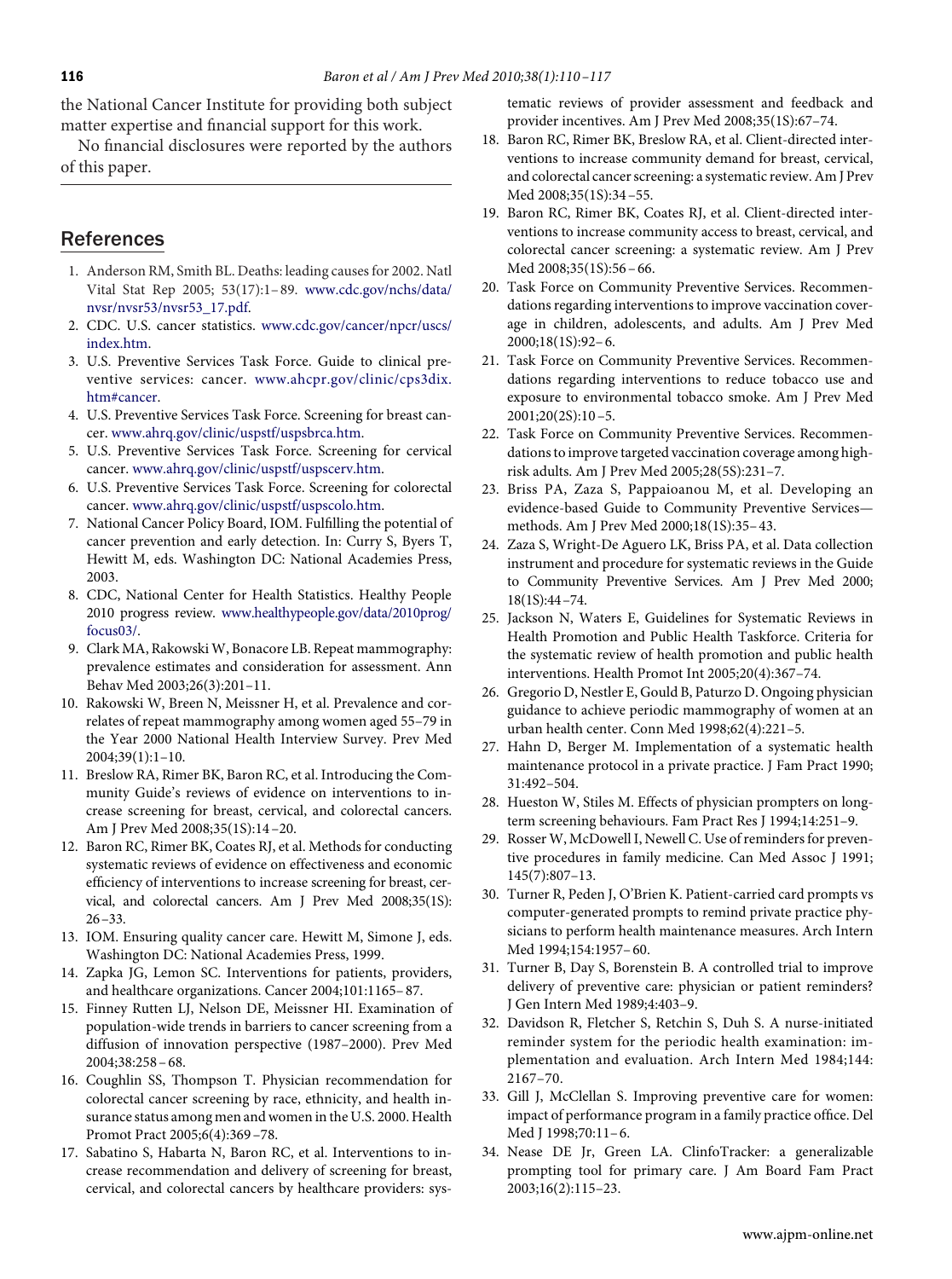<span id="page-6-0"></span>the National Cancer Institute for providing both subject matter expertise and fınancial support for this work.

No fınancial disclosures were reported by the authors of this paper.

# References

- 1. Anderson RM, Smith BL. Deaths: leading causes for 2002. Natl Vital Stat Rep 2005; 53(17):1– 89. [www.cdc.gov/nchs/data/](http://www.cdc.gov/nchs/data/nvsr/nvsr53/nvsr53_17.pdf) [nvsr/nvsr53/nvsr53\\_17.pdf.](http://www.cdc.gov/nchs/data/nvsr/nvsr53/nvsr53_17.pdf)
- 2. CDC. U.S. cancer statistics. [www.cdc.gov/cancer/npcr/uscs/](http://www.cdc.gov/cancer/npcr/uscs/index.htm) [index.htm.](http://www.cdc.gov/cancer/npcr/uscs/index.htm)
- 3. U.S. Preventive Services Task Force. Guide to clinical preventive services: cancer. [www.ahcpr.gov/clinic/cps3dix.](http://www.ahcpr.gov/clinic/cps3dix.htm%23cancer) [htm#cancer.](http://www.ahcpr.gov/clinic/cps3dix.htm%23cancer)
- 4. U.S. Preventive Services Task Force. Screening for breast cancer. [www.ahrq.gov/clinic/uspstf/uspsbrca.htm.](http://www.ahrq.gov/clinic/uspstf/uspsbrca.htm)
- 5. U.S. Preventive Services Task Force. Screening for cervical cancer. [www.ahrq.gov/clinic/uspstf/uspscerv.htm.](http://www.ahrq.gov/clinic/uspstf/uspscerv.htm)
- 6. U.S. Preventive Services Task Force. Screening for colorectal cancer. [www.ahrq.gov/clinic/uspstf/uspscolo.htm.](http://www.ahrq.gov/clinic/uspstf/uspscolo.htm)
- 7. National Cancer Policy Board, IOM. Fulfılling the potential of cancer prevention and early detection. In: Curry S, Byers T, Hewitt M, eds. Washington DC: National Academies Press, 2003.
- 8. CDC, National Center for Health Statistics. Healthy People 2010 progress review. [www.healthypeople.gov/data/2010prog/](http://www.healthypeople.gov/data/2010prog/focus03/) [focus03/.](http://www.healthypeople.gov/data/2010prog/focus03/)
- 9. Clark MA, Rakowski W, Bonacore LB. Repeat mammography: prevalence estimates and consideration for assessment. Ann Behav Med 2003;26(3):201–11.
- 10. Rakowski W, Breen N, Meissner H, et al. Prevalence and correlates of repeat mammography among women aged 55–79 in the Year 2000 National Health Interview Survey. Prev Med 2004;39(1):1–10.
- 11. Breslow RA, Rimer BK, Baron RC, et al. Introducing the Community Guide's reviews of evidence on interventions to increase screening for breast, cervical, and colorectal cancers. Am J Prev Med 2008;35(1S):14 –20.
- 12. Baron RC, Rimer BK, Coates RJ, et al. Methods for conducting systematic reviews of evidence on effectiveness and economic effıciency of interventions to increase screening for breast, cervical, and colorectal cancers. Am J Prev Med 2008;35(1S):  $26 - 33$ .
- 13. IOM. Ensuring quality cancer care. Hewitt M, Simone J, eds. Washington DC: National Academies Press, 1999.
- 14. Zapka JG, Lemon SC. Interventions for patients, providers, and healthcare organizations. Cancer 2004;101:1165– 87.
- 15. Finney Rutten LJ, Nelson DE, Meissner HI. Examination of population-wide trends in barriers to cancer screening from a diffusion of innovation perspective (1987–2000). Prev Med 2004;38:258 – 68.
- 16. Coughlin SS, Thompson T. Physician recommendation for colorectal cancer screening by race, ethnicity, and health insurance status among men and women in the U.S. 2000. Health Promot Pract 2005;6(4):369 –78.
- 17. Sabatino S, Habarta N, Baron RC, et al. Interventions to increase recommendation and delivery of screening for breast, cervical, and colorectal cancers by healthcare providers: sys-

tematic reviews of provider assessment and feedback and provider incentives. Am J Prev Med 2008;35(1S):67–74.

- 18. Baron RC, Rimer BK, Breslow RA, et al. Client-directed interventions to increase community demand for breast, cervical, and colorectal cancer screening: a systematic review. Am J Prev Med 2008;35(1S):34 –55.
- 19. Baron RC, Rimer BK, Coates RJ, et al. Client-directed interventions to increase community access to breast, cervical, and colorectal cancer screening: a systematic review. Am J Prev Med 2008;35(1S):56 – 66.
- 20. Task Force on Community Preventive Services. Recommendations regarding interventions to improve vaccination coverage in children, adolescents, and adults. Am J Prev Med 2000;18(1S):92– 6.
- 21. Task Force on Community Preventive Services. Recommendations regarding interventions to reduce tobacco use and exposure to environmental tobacco smoke. Am J Prev Med 2001;20(2S):10 –5.
- 22. Task Force on Community Preventive Services. Recommendations to improve targeted vaccination coverage among highrisk adults. Am J Prev Med 2005;28(5S):231–7.
- 23. Briss PA, Zaza S, Pappaioanou M, et al. Developing an evidence-based Guide to Community Preventive Services methods. Am J Prev Med 2000;18(1S):35– 43.
- 24. Zaza S, Wright-De Aguero LK, Briss PA, et al. Data collection instrument and procedure for systematic reviews in the Guide to Community Preventive Services. Am J Prev Med 2000; 18(1S):44–74.
- 25. Jackson N, Waters E, Guidelines for Systematic Reviews in Health Promotion and Public Health Taskforce. Criteria for the systematic review of health promotion and public health interventions. Health Promot Int 2005;20(4):367–74.
- 26. Gregorio D, Nestler E, Gould B, Paturzo D. Ongoing physician guidance to achieve periodic mammography of women at an urban health center. Conn Med 1998;62(4):221–5.
- 27. Hahn D, Berger M. Implementation of a systematic health maintenance protocol in a private practice. J Fam Pract 1990; 31:492–504.
- 28. Hueston W, Stiles M. Effects of physician prompters on longterm screening behaviours. Fam Pract Res J 1994;14:251–9.
- 29. RosserW, McDowell I, Newell C. Use of reminders for preventive procedures in family medicine. Can Med Assoc J 1991; 145(7):807–13.
- 30. Turner R, Peden J, O'Brien K. Patient-carried card prompts vs computer-generated prompts to remind private practice physicians to perform health maintenance measures. Arch Intern Med 1994;154:1957– 60.
- 31. Turner B, Day S, Borenstein B. A controlled trial to improve delivery of preventive care: physician or patient reminders? J Gen Intern Med 1989;4:403–9.
- 32. Davidson R, Fletcher S, Retchin S, Duh S. A nurse-initiated reminder system for the periodic health examination: implementation and evaluation. Arch Intern Med 1984;144: 2167–70.
- 33. Gill J, McClellan S. Improving preventive care for women: impact of performance program in a family practice offıce. Del Med J 1998;70:11-6.
- 34. Nease DE Jr, Green LA. ClinfoTracker: a generalizable prompting tool for primary care. J Am Board Fam Pract 2003;16(2):115–23.